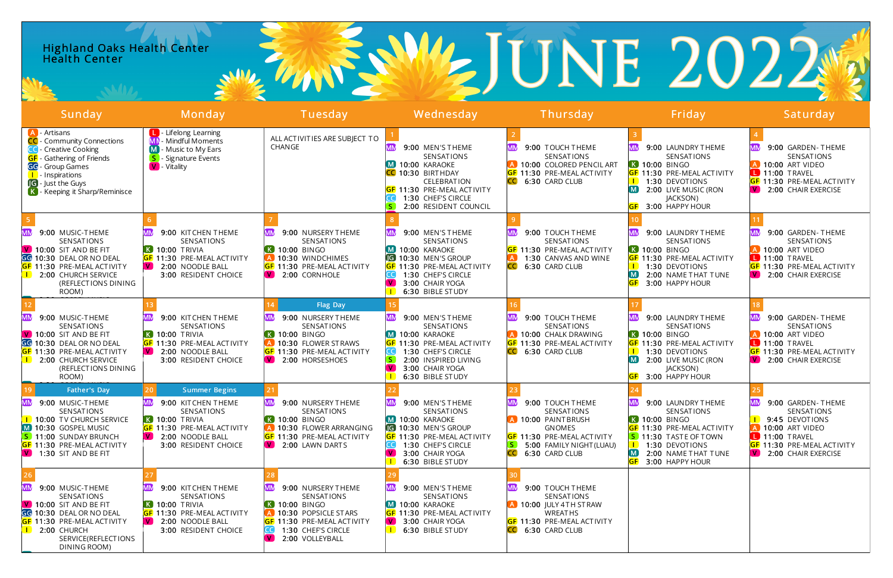### Highland Oaks Health Center **Health Center**

# WEJUNE 2022

| Sunday                                                                                                                                                                                                                           | Monday                                                                                                                                                                             | Tuesday                                                                                                                                                 | Wednesday                                                                                                                                                                                                                          | Thursday                                                                                                                                                                                   | Friday                                                                                                                                                                                                                    | Saturday                                                                                                                                                                                  |
|----------------------------------------------------------------------------------------------------------------------------------------------------------------------------------------------------------------------------------|------------------------------------------------------------------------------------------------------------------------------------------------------------------------------------|---------------------------------------------------------------------------------------------------------------------------------------------------------|------------------------------------------------------------------------------------------------------------------------------------------------------------------------------------------------------------------------------------|--------------------------------------------------------------------------------------------------------------------------------------------------------------------------------------------|---------------------------------------------------------------------------------------------------------------------------------------------------------------------------------------------------------------------------|-------------------------------------------------------------------------------------------------------------------------------------------------------------------------------------------|
| <b>A</b> - Artisans<br>CC - Community Connections<br>- Creative Cooking<br><b>GF</b> - Gathering of Friends<br><b>GG</b> - Group Games<br><b>I</b> - Inspirations<br><b>IG</b> - Just the Guys<br>K - Keeping it Sharp/Reminisce | <b>L</b> Lifelong Learning<br>Mindful Moments<br>Music to My Ears<br>Signature Events<br><b>V</b> - Vitality                                                                       | ALL ACTIVITIES ARE SUBJECT TO<br>CHANGE                                                                                                                 | 9:00 MEN'S THEME<br>SENSATIONS<br>M 10:00 KARAOKE<br>CC 10:30 BIRTHDAY<br><b>CELEBRATION</b><br><b>GF</b> 11:30 PRE-MEAL ACTIVITY<br>1:30 CHEF'S CIRCLE<br>2:00 RESIDENT COUNCIL                                                   | 9:00 TOUCH THEME<br>SENSATIONS<br>10:00 COLORED PENCIL ART<br><b>GF</b> 11:30 PRE-MEAL ACTIVITY<br>6:30 CARD CLUB<br>ICC.                                                                  | 9:00 LAUNDRY THEME<br>SENSATIONS<br><b>K</b> 10:00 BINGO<br><b>GF 11:30 PRE-MEAL ACTIVITY</b><br>1:30 DEVOTIONS<br>2:00 LIVE MUSIC (RON<br>M <sub>1</sub><br>JACKSON)<br>3:00 HAPPY HOUR                                  | 9:00 GARDEN-THEME<br>SENSATIONS<br><b>A</b> 10:00 ART VIDEO<br>11:00 TRAVEL<br>GF 11:30 PRE-MEAL ACTIVITY<br>V 2:00 CHAIR EXERCISE                                                        |
| 9:00 MUSIC-THEME<br>SENSATIONS<br>$\sqrt{V}$ 10:00 SIT AND BE FIT<br>GG 10:30 DEAL OR NO DEAL<br><b>GF</b> 11:30 PRE-MEAL ACTIVITY<br>2:00 CHURCH SERVICE<br>(REFLECTIONS DINING<br>ROOM)                                        | 9:00 KITCHEN THEME<br>SENSATIONS<br>$\overline{K}$ 10:00 TRIVIA<br><b>GF</b> 11:30 PRE-MEAL ACTIVITY<br>V 2:00 NOODLE BALL<br>3:00 RESIDENT CHOICE                                 | 9:00 NURSERY THEME<br><b>SENSATIONS</b><br>10:00 BINGO<br>10:30 WINDCHIMES<br><mark>GF</mark> 11:30 PRE-MEAL ACTIVITY<br>2:00 CORNHOLE<br>$\mathbf{V}$  | 9:00 MEN'S THEME<br>SENSATIONS<br>M 10:00 KARAOKE<br><b>G</b> 10:30 MEN'S GROUP<br><b>GF 11:30 PRE-MEAL ACTIVITY</b><br>1:30 CHEF'S CIRCLE<br>$\mathbf{V}$<br>3:00 CHAIR YOGA<br>6:30 BIBLE STUDY                                  | 9:00 TOUCH THEME<br>SENSATIONS<br><b>GF</b> 11:30 PRE-MEAL ACTIVITY<br>1:30 CANVAS AND WINE<br>6:30 CARD CLUB                                                                              | 9:00 LAUNDRY THEME<br><b>SENSATIONS</b><br><b>K 10:00 BINGO</b><br><b>GF</b> 11:30 PRE-MEAL ACTIVITY<br>1:30 DEVOTIONS<br>2:00 NAME THAT TUNE<br>M<br>3:00 HAPPY HOUR                                                     | 9:00 GARDEN-THEME<br>SENSATIONS<br>A 10:00 ART VIDEO<br>11:00 TRAVEL<br><b>GF</b> 11:30 PRE-MEAL ACTIVITY<br>V 2:00 CHAIR EXERCISE                                                        |
| .<br>MN<br>9:00 MUSIC-THEME<br>SENSATIONS<br>V 10:00 SIT AND BE FIT<br>GG 10:30 DEAL OR NO DEAL<br><b>GF</b> 11:30 PRE-MEAL ACTIVITY<br>2:00 CHURCH SERVICE<br>(REFLECTIONS DINING<br>ROOM)                                      | 9:00 KITCHEN THEME<br>SENSATIONS<br>$\overline{K}$ 10:00 TRIVIA<br><b>GF</b> 11:30 PRE-MEAL ACTIVITY<br>2:00 NOODLE BALL<br><b>VI</b><br>3:00 RESIDENT CHOICE                      | Flag Day<br>9:00 NURSERY THEME<br>SENSATIONS<br>10:00 BINGO<br>10:30 FLOWER STRAWS<br><b>GF 11:30 PRE-MEAL ACTIVITY</b><br>2:00 HORSESHOES              | 9:00 MEN'S THEME<br>SENSATIONS<br>M 10:00 KARAOKE<br><b>GF 11:30 PRE-MEAL ACTIVITY</b><br>1:30 CHEF'S CIRCLE<br>2:00 INSPIRED LIVING<br>V.<br>3:00 CHAIR YOGA<br>6:30 BIBLE STUDY                                                  | 9:00 TOUCH THEME<br>SENSATIONS<br>A 10:00 CHALK DRAWING<br><b>GF</b> 11:30 PRE-MEAL ACTIVITY<br>6:30 CARD CLUB                                                                             | 9:00 LAUNDRY THEME<br>SENSATIONS<br><b>K 10:00 BINGO</b><br><b>GF 11:30 PRE-MEAL ACTIVITY</b><br>1:30 DEVOTIONS<br>M<br>2:00 LIVE MUSIC (RON<br>JACKSON)<br>3:00 HAPPY HOUR                                               | 9:00 GARDEN-THEME<br>SENSATIONS<br><b>A</b> 10:00 ART VIDEO<br>11:00 TRAVEL<br>GF 11:30 PRE-MEAL ACTIVITY<br>W.<br>2:00 CHAIR EXERCISE                                                    |
| Father's Day<br>9:00 MUSIC-THEME<br>SENSATIONS<br><b>I</b> 10:00 TV CHURCH SERVICE<br>M 10:30 GOSPEL MUSIC<br>S 11:00 SUNDAY BRUNCH<br><b>GF</b> 11:30 PRE-MEAL ACTIVITY<br>$\boxed{\mathsf{V}}$ 1:30 SIT AND BE FIT             | <b>Summer Begins</b><br>9:00 KITCHEN THEME<br>SENSATIONS<br><b>K</b> 10:00 TRIVIA<br><b>GF</b> 11:30 PRE-MEAL ACTIVITY<br>2:00 NOODLE BALL<br>$\mathbf{W}$<br>3:00 RESIDENT CHOICE | 9:00 NURSERY THEME<br>SENSATIONS<br>10:00 BINGO<br>10:30 FLOWER ARRANGING<br><b>GF</b> 11:30 PRE-MEAL ACTIVITY<br>$\sqrt{2.00}$ LAWN DARTS              | 9:00 MEN'S THEME<br>SENSATIONS<br>M 10:00 KARAOKE<br><b>G</b> 10:30 MEN'S GROUP<br><b>GF 11:30 PRE-MEAL ACTIVITY</b><br>$\subset$ $\subset$ $\subset$<br>1:30 CHEF'S CIRCLE<br>$\mathbf{V}$<br>3:00 CHAIR YOGA<br>6:30 BIBLE STUDY | 9:00 TOUCH THEME<br>SENSATIONS<br>A 10:00 PAINTBRUSH<br><b>GNOMES</b><br><b>GF</b> 11:30 PRE-MEAL ACTIVITY<br>$\vert S \vert$<br>5:00 FAMILY NIGHT (LUAU)<br><b>ICCI</b><br>6:30 CARD CLUB | 9:00 LAUNDRY THEME<br>SENSATIONS<br><b>K 10:00 BINGO</b><br><b>GF</b> 11:30 PRE-MEAL ACTIVITY<br><b>S</b> 11:30 TASTE OF TOWN<br><b>I</b> 1:30 DEVOTIONS<br>$\lfloor M \rfloor$<br>2:00 NAME THAT TUNE<br>3:00 HAPPY HOUR | МM<br>9:00 GARDEN-THEME<br><b>SENSATIONS</b><br>9:45 DEVOTIONS<br>10:00 ART VIDEO<br>$\Box$ 11:00 TRAVEL<br><b>GF</b> 11:30 PRE-MEAL ACTIVITY<br>$\boxed{\mathsf{V}}$ 2:00 CHAIR EXERCISE |
| 9:00 MUSIC-THEME<br>SENSATIONS<br>$V$ 10:00 SIT AND BE FIT<br>GG 10:30 DEAL OR NO DEAL<br><b>GF</b> 11:30 PRE-MEAL ACTIVITY<br>2:00 CHURCH<br>SERVICE(REFLECTIONS<br>DINING ROOM)                                                | 9:00 KITCHEN THEME<br>SENSATIONS<br>$\overline{\mathbf{K}}$ 10:00 TRIVIA<br><b>GF</b> 11:30 PRE-MEAL ACTIVITY<br>$\sqrt{V}$ 2:00 NOODLE BALL<br>3:00 RESIDENT CHOICE               | 9:00 NURSERY THEME<br>SENSATIONS<br>K 10:00 BINGO<br>10:30 POPSICLE STARS<br><b>GF</b> 11:30 PRE-MEAL ACTIVITY<br>1:30 CHEF'S CIRCLE<br>2:00 VOLLEYBALL | 9:00 MEN'S THEME<br>SENSATIONS<br>$M$ 10:00 KARAOKE<br><b>GF</b> 11:30 PRE-MEAL ACTIVITY<br>$\boxed{\mathsf{V}}$ 3:00 CHAIR YOGA<br>$\blacksquare$<br>6:30 BIBLE STUDY                                                             | 9:00 TOUCH THEME<br>SENSATIONS<br>$\overline{A}$ 10:00 JULY 4TH STRAW<br><b>WREATHS</b><br><b>GF 11:30 PRE-MEAL ACTIVITY</b><br>6:30 CARD CLUB                                             |                                                                                                                                                                                                                           |                                                                                                                                                                                           |